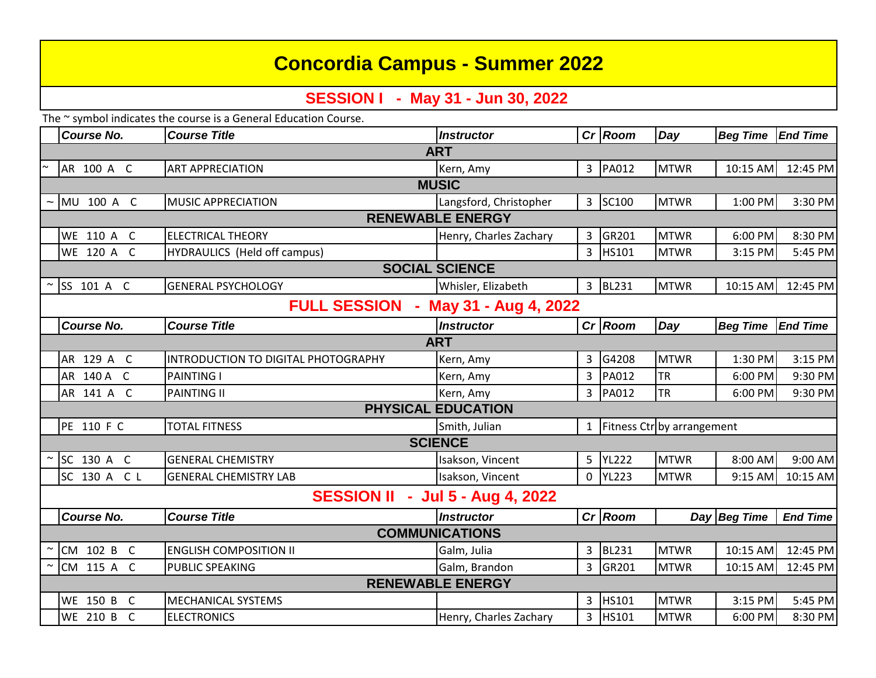# **Concordia Campus - Summer 2022**

## **SESSION I - May 31 - Jun 30, 2022**

The ~ symbol indicates the course is a General Education Course.

|                                                               | <b>Course No.</b> | <b>Course Title</b>                 | <b>Instructor</b>      |                | $Cr$ Room                  | Day         | <b>Beg Time</b> | <b>End Time</b> |  |
|---------------------------------------------------------------|-------------------|-------------------------------------|------------------------|----------------|----------------------------|-------------|-----------------|-----------------|--|
| <b>ART</b>                                                    |                   |                                     |                        |                |                            |             |                 |                 |  |
|                                                               | AR 100 A C        | <b>ART APPRECIATION</b>             | Kern, Amy              |                | 3 PA012                    | <b>MTWR</b> | 10:15 AM        | 12:45 PM        |  |
| <b>MUSIC</b>                                                  |                   |                                     |                        |                |                            |             |                 |                 |  |
|                                                               | $\sim$ MU 100 A C | <b>MUSIC APPRECIATION</b>           | Langsford, Christopher |                | 3 SC100                    | <b>MTWR</b> | 1:00 PM         | 3:30 PM         |  |
| <b>RENEWABLE ENERGY</b>                                       |                   |                                     |                        |                |                            |             |                 |                 |  |
|                                                               | WE 110 A C        | <b>ELECTRICAL THEORY</b>            | Henry, Charles Zachary | 3              | GR201                      | <b>MTWR</b> | 6:00 PM         | 8:30 PM         |  |
|                                                               | WE 120 A C        | HYDRAULICS (Held off campus)        |                        | $\overline{3}$ | <b>HS101</b>               | <b>MTWR</b> | 3:15 PM         | 5:45 PM         |  |
| <b>SOCIAL SCIENCE</b>                                         |                   |                                     |                        |                |                            |             |                 |                 |  |
|                                                               | $\sim$ SS 101 A C | <b>GENERAL PSYCHOLOGY</b>           | Whisler, Elizabeth     | 3              | <b>BL231</b>               | <b>MTWR</b> | 10:15 AM        | 12:45 PM        |  |
| <b>FULL SESSION</b><br>May 31 - Aug 4, 2022<br>$\blacksquare$ |                   |                                     |                        |                |                            |             |                 |                 |  |
|                                                               | <b>Course No.</b> | <b>Course Title</b>                 | <b>Instructor</b>      |                | $Cr$ Room                  | Day         | <b>Beg Time</b> | <b>End Time</b> |  |
| <b>ART</b>                                                    |                   |                                     |                        |                |                            |             |                 |                 |  |
|                                                               | AR 129 A C        | INTRODUCTION TO DIGITAL PHOTOGRAPHY | Kern, Amy              | 3              | G4208                      | <b>MTWR</b> | 1:30 PM         | 3:15 PM         |  |
|                                                               | AR 140 A C        | <b>PAINTING I</b>                   | Kern, Amy              | 3              | PA012                      | <b>TR</b>   | 6:00 PM         | 9:30 PM         |  |
|                                                               | AR 141 A C        | <b>PAINTING II</b>                  | Kern, Amy              | 3              | PA012                      | <b>TR</b>   | 6:00 PM         | 9:30 PM         |  |
| <b>PHYSICAL EDUCATION</b>                                     |                   |                                     |                        |                |                            |             |                 |                 |  |
|                                                               | PE 110 F C        | <b>TOTAL FITNESS</b>                | Smith, Julian          | $\mathbf{1}$   | Fitness Ctr by arrangement |             |                 |                 |  |
| <b>SCIENCE</b>                                                |                   |                                     |                        |                |                            |             |                 |                 |  |
|                                                               | $\sim$ SC 130 A C | <b>GENERAL CHEMISTRY</b>            | Isakson, Vincent       |                | 5 YL222                    | <b>MTWR</b> | 8:00 AM         | 9:00 AM         |  |
|                                                               | SC 130 A C L      | <b>GENERAL CHEMISTRY LAB</b>        | Isakson, Vincent       |                | 0 YL223                    | <b>MTWR</b> | 9:15 AM         | 10:15 AM        |  |
| <b>SESSION II - Jul 5 - Aug 4, 2022</b>                       |                   |                                     |                        |                |                            |             |                 |                 |  |
|                                                               | <b>Course No.</b> | <b>Course Title</b>                 | <b>Instructor</b>      |                | $Cr$ Room                  |             | Day Beg Time    | <b>End Time</b> |  |
| <b>COMMUNICATIONS</b>                                         |                   |                                     |                        |                |                            |             |                 |                 |  |
| $\sim$                                                        | CM 102 B C        | <b>ENGLISH COMPOSITION II</b>       | Galm, Julia            | 3              | <b>BL231</b>               | <b>MTWR</b> | 10:15 AM        | 12:45 PM        |  |
|                                                               | CM 115 A C        | PUBLIC SPEAKING                     | Galm, Brandon          | 3              | GR201                      | <b>MTWR</b> | 10:15 AM        | 12:45 PM        |  |
| <b>RENEWABLE ENERGY</b>                                       |                   |                                     |                        |                |                            |             |                 |                 |  |
|                                                               | WE 150 B C        | <b>MECHANICAL SYSTEMS</b>           |                        | 3              | HS101                      | <b>MTWR</b> | 3:15 PM         | 5:45 PM         |  |
|                                                               | WE 210 B C        | <b>ELECTRONICS</b>                  | Henry, Charles Zachary | 3              | HS101                      | <b>MTWR</b> | 6:00 PM         | 8:30 PM         |  |